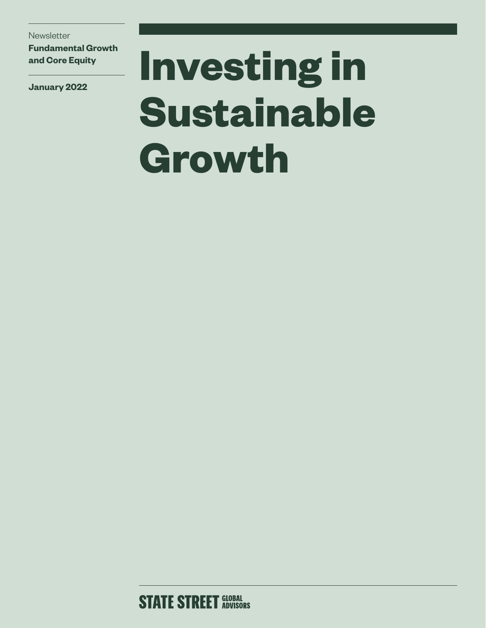**Newsletter** 

**Fundamental Growth and Core Equity**

**January 2022**

# **Investing in Sustainable Growth**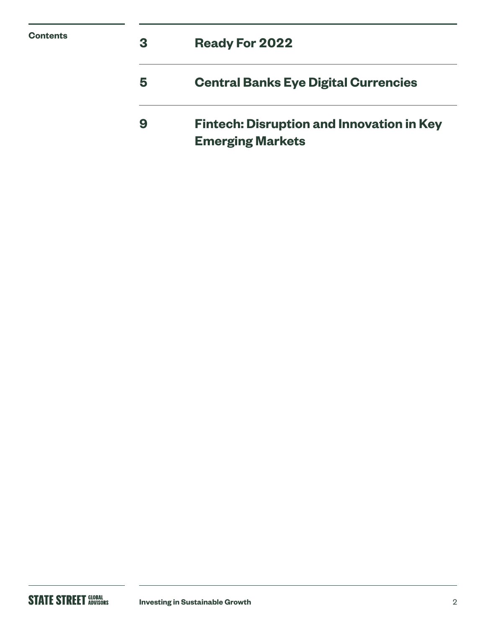| <b>Contents</b> | 3 | <b>Ready For 2022</b>                                                       |
|-----------------|---|-----------------------------------------------------------------------------|
|                 | 5 | <b>Central Banks Eye Digital Currencies</b>                                 |
|                 | 9 | <b>Fintech: Disruption and Innovation in Key</b><br><b>Emerging Markets</b> |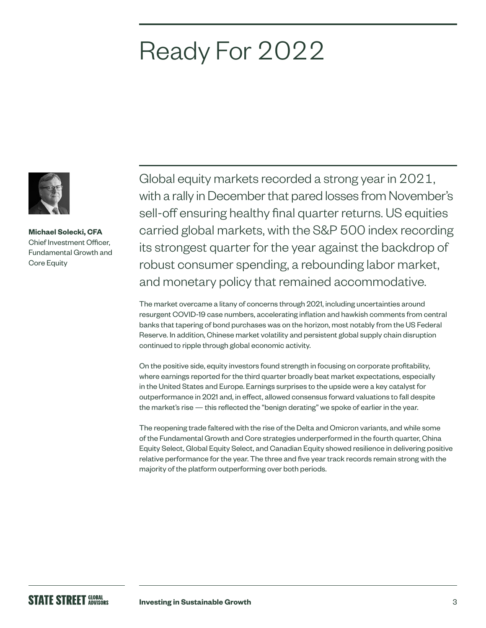### Ready For 2022



**Michael Solecki, CFA** Chief Investment Officer, Fundamental Growth and Core Equity

Global equity markets recorded a strong year in 2021, with a rally in December that pared losses from November's sell-off ensuring healthy final quarter returns. US equities carried global markets, with the S&P 500 index recording its strongest quarter for the year against the backdrop of robust consumer spending, a rebounding labor market, and monetary policy that remained accommodative.

The market overcame a litany of concerns through 2021, including uncertainties around resurgent COVID-19 case numbers, accelerating inflation and hawkish comments from central banks that tapering of bond purchases was on the horizon, most notably from the US Federal Reserve. In addition, Chinese market volatility and persistent global supply chain disruption continued to ripple through global economic activity.

On the positive side, equity investors found strength in focusing on corporate profitability, where earnings reported for the third quarter broadly beat market expectations, especially in the United States and Europe. Earnings surprises to the upside were a key catalyst for outperformance in 2021 and, in effect, allowed consensus forward valuations to fall despite the market's rise — this reflected the "benign derating" we spoke of earlier in the year.

The reopening trade faltered with the rise of the Delta and Omicron variants, and while some of the Fundamental Growth and Core strategies underperformed in the fourth quarter, China Equity Select, Global Equity Select, and Canadian Equity showed resilience in delivering positive relative performance for the year. The three and five year track records remain strong with the majority of the platform outperforming over both periods.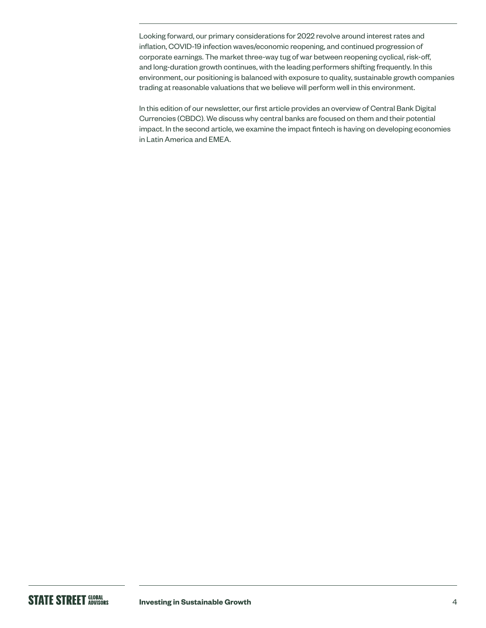Looking forward, our primary considerations for 2022 revolve around interest rates and inflation, COVID-19 infection waves/economic reopening, and continued progression of corporate earnings. The market three-way tug of war between reopening cyclical, risk-off, and long-duration growth continues, with the leading performers shifting frequently. In this environment, our positioning is balanced with exposure to quality, sustainable growth companies trading at reasonable valuations that we believe will perform well in this environment.

In this edition of our newsletter, our first article provides an overview of Central Bank Digital Currencies (CBDC). We discuss why central banks are focused on them and their potential impact. In the second article, we examine the impact fintech is having on developing economies in Latin America and EMEA.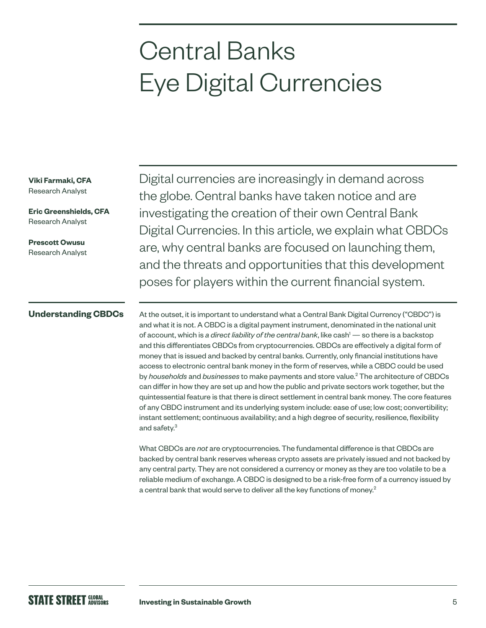### Central Banks Eye Digital Currencies

**Viki Farmaki, CFA** Research Analyst

**Eric Greenshields, CFA** Research Analyst

**Prescott Owusu** Research Analyst Digital currencies are increasingly in demand across the globe. Central banks have taken notice and are investigating the creation of their own Central Bank Digital Currencies. In this article, we explain what CBDCs are, why central banks are focused on launching them, and the threats and opportunities that this development poses for players within the current financial system.

#### **Understanding CBDCs**

At the outset, it is important to understand what a Central Bank Digital Currency ("CBDC") is and what it is not. A CBDC is a digital payment instrument, denominated in the national unit of account, which is *a direct liability of the central bank*, like cash<sup>1</sup> — so there is a backstop and this differentiates CBDCs from cryptocurrencies. CBDCs are effectively a digital form of money that is issued and backed by central banks. Currently, only financial institutions have access to electronic central bank money in the form of reserves, while a CBDC could be used by *households* and *businesses* to make payments and store value.2 The architecture of CBDCs can differ in how they are set up and how the public and private sectors work together, but the quintessential feature is that there is direct settlement in central bank money. The core features of any CBDC instrument and its underlying system include: ease of use; low cost; convertibility; instant settlement; continuous availability; and a high degree of security, resilience, flexibility and safety.<sup>3</sup>

What CBDCs are *not* are cryptocurrencies. The fundamental difference is that CBDCs are backed by central bank reserves whereas crypto assets are privately issued and not backed by any central party. They are not considered a currency or money as they are too volatile to be a reliable medium of exchange. A CBDC is designed to be a risk-free form of a currency issued by a central bank that would serve to deliver all the key functions of money.<sup>2</sup>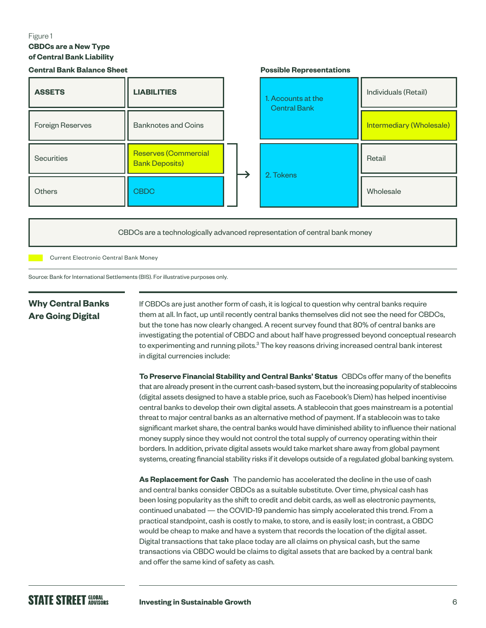#### Figure 1 **CBDCs are a New Type of Central Bank Liability**

| <b>Central Bank Balance Sheet</b> |                                               |  | <b>Possible Representations</b>           |                          |
|-----------------------------------|-----------------------------------------------|--|-------------------------------------------|--------------------------|
| <b>ASSETS</b>                     | <b>LIABILITIES</b>                            |  | 1. Accounts at the<br><b>Central Bank</b> | Individuals (Retail)     |
| Foreign Reserves                  | <b>Banknotes and Coins</b>                    |  |                                           | Intermediary (Wholesale) |
| Securities                        | Reserves (Commercial<br><b>Bank Deposits)</b> |  | 2. Tokens                                 | Retail                   |
| <b>Others</b>                     | <b>CBDC</b>                                   |  |                                           | Wholesale                |

CBDCs are a technologically advanced representation of central bank money

Current Electronic Central Bank Money

Source: Bank for International Settlements (BIS). For illustrative purposes only.

### **Why Central Banks Are Going Digital**

If CBDCs are just another form of cash, it is logical to question why central banks require them at all. In fact, up until recently central banks themselves did not see the need for CBDCs, but the tone has now clearly changed. A recent survey found that 80% of central banks are investigating the potential of CBDC and about half have progressed beyond conceptual research to experimenting and running pilots. ${}^{3}$  The key reasons driving increased central bank interest in digital currencies include:

**To Preserve Financial Stability and Central Banks' Status** CBDCs offer many of the benefits that are already present in the current cash-based system, but the increasing popularity of stablecoins (digital assets designed to have a stable price, such as Facebook's Diem) has helped incentivise central banks to develop their own digital assets. A stablecoin that goes mainstream is a potential threat to major central banks as an alternative method of payment. If a stablecoin was to take significant market share, the central banks would have diminished ability to influence their national money supply since they would not control the total supply of currency operating within their borders. In addition, private digital assets would take market share away from global payment systems, creating financial stability risks if it develops outside of a regulated global banking system.

**As Replacement for Cash** The pandemic has accelerated the decline in the use of cash and central banks consider CBDCs as a suitable substitute. Over time, physical cash has been losing popularity as the shift to credit and debit cards, as well as electronic payments, continued unabated — the COVID-19 pandemic has simply accelerated this trend. From a practical standpoint, cash is costly to make, to store, and is easily lost; in contrast, a CBDC would be cheap to make and have a system that records the location of the digital asset. Digital transactions that take place today are all claims on physical cash, but the same transactions via CBDC would be claims to digital assets that are backed by a central bank and offer the same kind of safety as cash.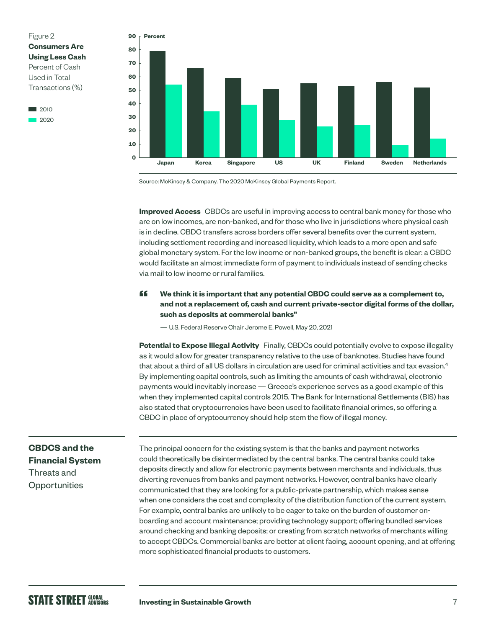

2020



Source: McKinsey & Company. The 2020 McKinsey Global Payments Report.

**Improved Access** CBDCs are useful in improving access to central bank money for those who are on low incomes, are non-banked, and for those who live in jurisdictions where physical cash is in decline. CBDC transfers across borders offer several benefits over the current system, including settlement recording and increased liquidity, which leads to a more open and safe global monetary system. For the low income or non-banked groups, the benefit is clear: a CBDC would facilitate an almost immediate form of payment to individuals instead of sending checks via mail to low income or rural families.

#### **ff** We think it is important that any potential CBDC could serve as a complement to, **and not a replacement of, cash and current private-sector digital forms of the dollar, such as deposits at commercial banks"**

— U.S. Federal Reserve Chair Jerome E. Powell, May 20, 2021

**Potential to Expose Illegal Activity** Finally, CBDCs could potentially evolve to expose illegality as it would allow for greater transparency relative to the use of banknotes. Studies have found that about a third of all US dollars in circulation are used for criminal activities and tax evasion.<sup>4</sup> By implementing capital controls, such as limiting the amounts of cash withdrawal, electronic payments would inevitably increase — Greece's experience serves as a good example of this when they implemented capital controls 2015. The Bank for International Settlements (BIS) has also stated that cryptocurrencies have been used to facilitate financial crimes, so offering a CBDC in place of cryptocurrency should help stem the flow of illegal money.

#### **CBDCS and the Financial System**  Threats and

**Opportunities** 

The principal concern for the existing system is that the banks and payment networks could theoretically be disintermediated by the central banks. The central banks could take deposits directly and allow for electronic payments between merchants and individuals, thus diverting revenues from banks and payment networks. However, central banks have clearly communicated that they are looking for a public-private partnership, which makes sense when one considers the cost and complexity of the distribution function of the current system. For example, central banks are unlikely to be eager to take on the burden of customer onboarding and account maintenance; providing technology support; offering bundled services around checking and banking deposits; or creating from scratch networks of merchants willing to accept CBDCs. Commercial banks are better at client facing, account opening, and at offering more sophisticated financial products to customers.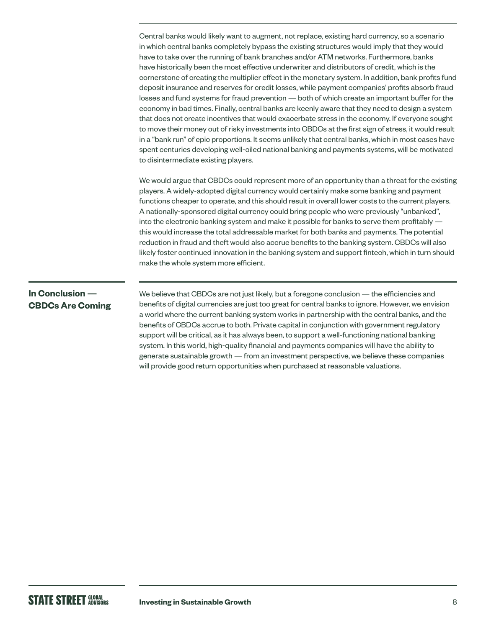Central banks would likely want to augment, not replace, existing hard currency, so a scenario in which central banks completely bypass the existing structures would imply that they would have to take over the running of bank branches and/or ATM networks. Furthermore, banks have historically been the most effective underwriter and distributors of credit, which is the cornerstone of creating the multiplier effect in the monetary system. In addition, bank profits fund deposit insurance and reserves for credit losses, while payment companies' profits absorb fraud losses and fund systems for fraud prevention — both of which create an important buffer for the economy in bad times. Finally, central banks are keenly aware that they need to design a system that does not create incentives that would exacerbate stress in the economy. If everyone sought to move their money out of risky investments into CBDCs at the first sign of stress, it would result in a "bank run" of epic proportions. It seems unlikely that central banks, which in most cases have spent centuries developing well-oiled national banking and payments systems, will be motivated to disintermediate existing players.

We would argue that CBDCs could represent more of an opportunity than a threat for the existing players. A widely-adopted digital currency would certainly make some banking and payment functions cheaper to operate, and this should result in overall lower costs to the current players. A nationally-sponsored digital currency could bring people who were previously "unbanked", into the electronic banking system and make it possible for banks to serve them profitably this would increase the total addressable market for both banks and payments. The potential reduction in fraud and theft would also accrue benefits to the banking system. CBDCs will also likely foster continued innovation in the banking system and support fintech, which in turn should make the whole system more efficient.

#### **In Conclusion — CBDCs Are Coming**

We believe that CBDCs are not just likely, but a foregone conclusion — the efficiencies and benefits of digital currencies are just too great for central banks to ignore. However, we envision a world where the current banking system works in partnership with the central banks, and the benefits of CBDCs accrue to both. Private capital in conjunction with government regulatory support will be critical, as it has always been, to support a well-functioning national banking system. In this world, high-quality financial and payments companies will have the ability to generate sustainable growth — from an investment perspective, we believe these companies will provide good return opportunities when purchased at reasonable valuations.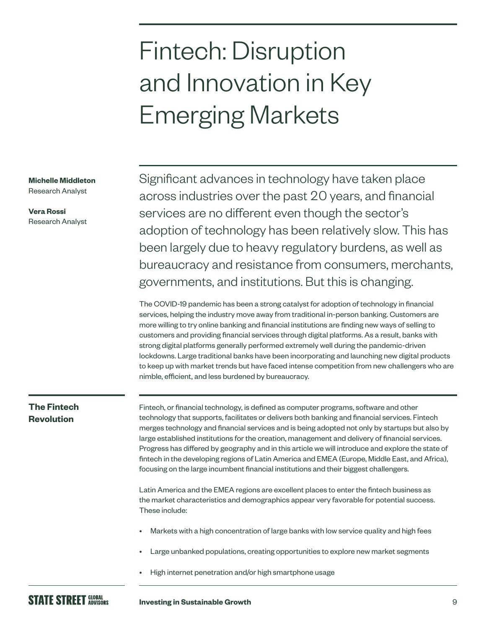## Fintech: Disruption and Innovation in Key Emerging Markets

**Michelle Middleton**

Research Analyst

**Vera Rossi** Research Analyst Significant advances in technology have taken place across industries over the past 20 years, and financial services are no different even though the sector's adoption of technology has been relatively slow. This has been largely due to heavy regulatory burdens, as well as bureaucracy and resistance from consumers, merchants, governments, and institutions. But this is changing.

The COVID-19 pandemic has been a strong catalyst for adoption of technology in financial services, helping the industry move away from traditional in-person banking. Customers are more willing to try online banking and financial institutions are finding new ways of selling to customers and providing financial services through digital platforms. As a result, banks with strong digital platforms generally performed extremely well during the pandemic-driven lockdowns. Large traditional banks have been incorporating and launching new digital products to keep up with market trends but have faced intense competition from new challengers who are nimble, efficient, and less burdened by bureaucracy.

### **The Fintech Revolution**

Fintech, or financial technology, is defined as computer programs, software and other technology that supports, facilitates or delivers both banking and financial services. Fintech merges technology and financial services and is being adopted not only by startups but also by large established institutions for the creation, management and delivery of financial services. Progress has differed by geography and in this article we will introduce and explore the state of fintech in the developing regions of Latin America and EMEA (Europe, Middle East, and Africa), focusing on the large incumbent financial institutions and their biggest challengers.

Latin America and the EMEA regions are excellent places to enter the fintech business as the market characteristics and demographics appear very favorable for potential success. These include:

- Markets with a high concentration of large banks with low service quality and high fees
- Large unbanked populations, creating opportunities to explore new market segments
- High internet penetration and/or high smartphone usage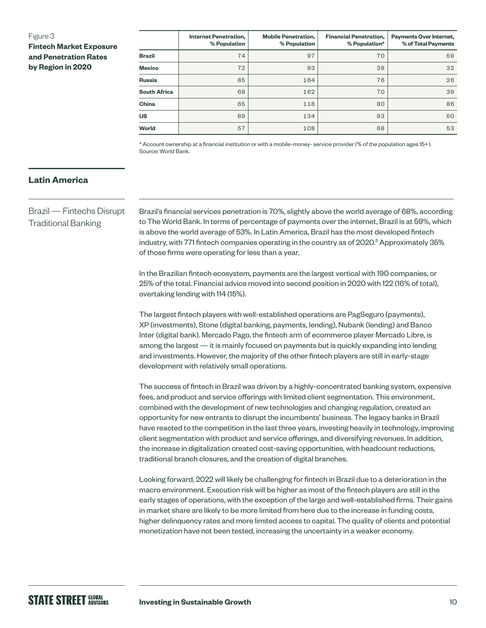#### Figure 3

**Fintech Market Exposure and Penetration Rates by Region in 2020**

|                     | <b>Internet Penetration,</b><br>% Population | <b>Mobile Penetration,</b><br>% Population | <b>Financial Penetration,</b><br>% Population* | <b>Payments Over Internet,</b><br>% of Total Payments |
|---------------------|----------------------------------------------|--------------------------------------------|------------------------------------------------|-------------------------------------------------------|
| <b>Brazil</b>       | 74                                           | 97                                         | 70                                             | 59                                                    |
| <b>Mexico</b>       | 72                                           | 93                                         | 38                                             | 32                                                    |
| <b>Russia</b>       | 85                                           | 164                                        | 76                                             | 26                                                    |
| <b>South Africa</b> | 68                                           | 162                                        | 70                                             | 39                                                    |
| China               | 65                                           | 118                                        | 80                                             | 86                                                    |
| <b>US</b>           | 89                                           | 134                                        | 93                                             | 50                                                    |
| <b>World</b>        | 57                                           | 108                                        | 68                                             | 53                                                    |

\* Account ownership at a financial institution or with a mobile-money- service provider (% of the population ages 15+). Source: World Bank.

#### **Latin America**

Brazil — Fintechs Disrupt Traditional Banking

Brazil's financial services penetration is 70%, slightly above the world average of 68%, according to The World Bank. In terms of percentage of payments over the internet, Brazil is at 59%, which is above the world average of 53%. In Latin America, Brazil has the most developed fintech industry, with 771 fintech companies operating in the country as of 2020.<sup>5</sup> Approximately 35% of those firms were operating for less than a year.

In the Brazilian fintech ecosystem, payments are the largest vertical with 190 companies, or 25% of the total. Financial advice moved into second position in 2020 with 122 (16% of total), overtaking lending with 114 (15%).

The largest fintech players with well-established operations are PagSeguro (payments), XP (investments), Stone (digital banking, payments, lending), Nubank (lending) and Banco Inter (digital bank). Mercado Pago, the fintech arm of ecommerce player Mercado Libre, is among the largest — it is mainly focused on payments but is quickly expanding into lending and investments. However, the majority of the other fintech players are still in early-stage development with relatively small operations.

The success of fintech in Brazil was driven by a highly-concentrated banking system, expensive fees, and product and service offerings with limited client segmentation. This environment, combined with the development of new technologies and changing regulation, created an opportunity for new entrants to disrupt the incumbents' business. The legacy banks in Brazil have reacted to the competition in the last three years, investing heavily in technology, improving client segmentation with product and service offerings, and diversifying revenues. In addition, the increase in digitalization created cost-saving opportunities, with headcount reductions, traditional branch closures, and the creation of digital branches.

Looking forward, 2022 will likely be challenging for fintech in Brazil due to a deterioration in the macro environment. Execution risk will be higher as most of the fintech players are still in the early stages of operations, with the exception of the large and well-established firms. Their gains in market share are likely to be more limited from here due to the increase in funding costs, higher delinquency rates and more limited access to capital. The quality of clients and potential monetization have not been tested, increasing the uncertainty in a weaker economy.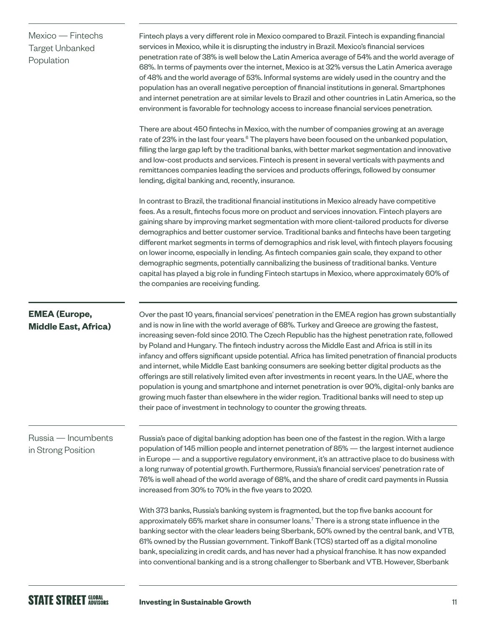| Mexico - Fintechs<br><b>Target Unbanked</b><br>Population | Fintech plays a very different role in Mexico compared to Brazil. Fintech is expanding financial<br>services in Mexico, while it is disrupting the industry in Brazil. Mexico's financial services<br>penetration rate of 38% is well below the Latin America average of 54% and the world average of<br>68%. In terms of payments over the internet, Mexico is at 32% versus the Latin America average<br>of 48% and the world average of 53%. Informal systems are widely used in the country and the<br>population has an overall negative perception of financial institutions in general. Smartphones<br>and internet penetration are at similar levels to Brazil and other countries in Latin America, so the<br>environment is favorable for technology access to increase financial services penetration.<br>There are about 450 fintechs in Mexico, with the number of companies growing at an average<br>rate of 23% in the last four years. <sup>6</sup> The players have been focused on the unbanked population,<br>filling the large gap left by the traditional banks, with better market segmentation and innovative |
|-----------------------------------------------------------|--------------------------------------------------------------------------------------------------------------------------------------------------------------------------------------------------------------------------------------------------------------------------------------------------------------------------------------------------------------------------------------------------------------------------------------------------------------------------------------------------------------------------------------------------------------------------------------------------------------------------------------------------------------------------------------------------------------------------------------------------------------------------------------------------------------------------------------------------------------------------------------------------------------------------------------------------------------------------------------------------------------------------------------------------------------------------------------------------------------------------------------|
|                                                           | and low-cost products and services. Fintech is present in several verticals with payments and<br>remittances companies leading the services and products offerings, followed by consumer<br>lending, digital banking and, recently, insurance.                                                                                                                                                                                                                                                                                                                                                                                                                                                                                                                                                                                                                                                                                                                                                                                                                                                                                       |
|                                                           | In contrast to Brazil, the traditional financial institutions in Mexico already have competitive<br>fees. As a result, fintechs focus more on product and services innovation. Fintech players are<br>gaining share by improving market segmentation with more client-tailored products for diverse<br>demographics and better customer service. Traditional banks and fintechs have been targeting<br>different market segments in terms of demographics and risk level, with fintech players focusing<br>on lower income, especially in lending. As fintech companies gain scale, they expand to other<br>demographic segments, potentially cannibalizing the business of traditional banks. Venture<br>capital has played a big role in funding Fintech startups in Mexico, where approximately 60% of<br>the companies are receiving funding.                                                                                                                                                                                                                                                                                    |
| <b>EMEA</b> (Europe,<br><b>Middle East, Africa)</b>       | Over the past 10 years, financial services' penetration in the EMEA region has grown substantially<br>and is now in line with the world average of 68%. Turkey and Greece are growing the fastest,<br>increasing seven-fold since 2010. The Czech Republic has the highest penetration rate, followed<br>by Poland and Hungary. The fintech industry across the Middle East and Africa is still in its<br>infancy and offers significant upside potential. Africa has limited penetration of financial products<br>and internet, while Middle East banking consumers are seeking better digital products as the<br>offerings are still relatively limited even after investments in recent years. In the UAE, where the<br>population is young and smartphone and internet penetration is over 90%, digital-only banks are<br>growing much faster than elsewhere in the wider region. Traditional banks will need to step up<br>their pace of investment in technology to counter the growing threats.                                                                                                                               |
| Russia - Incumbents<br>in Strong Position                 | Russia's pace of digital banking adoption has been one of the fastest in the region. With a large<br>population of 145 million people and internet penetration of 85% - the largest internet audience<br>in Europe - and a supportive regulatory environment, it's an attractive place to do business with<br>a long runway of potential growth. Furthermore, Russia's financial services' penetration rate of<br>76% is well ahead of the world average of 68%, and the share of credit card payments in Russia<br>increased from 30% to 70% in the five years to 2020.                                                                                                                                                                                                                                                                                                                                                                                                                                                                                                                                                             |
|                                                           | With 373 banks, Russia's banking system is fragmented, but the top five banks account for<br>approximately 65% market share in consumer loans. <sup>7</sup> There is a strong state influence in the<br>banking sector with the clear leaders being Sberbank, 50% owned by the central bank, and VTB,<br>61% owned by the Russian government. Tinkoff Bank (TCS) started off as a digital monoline<br>bank, specializing in credit cards, and has never had a physical franchise. It has now expanded<br>into conventional banking and is a strong challenger to Sberbank and VTB. However, Sberbank                                                                                                                                                                                                                                                                                                                                                                                                                                                                                                                                 |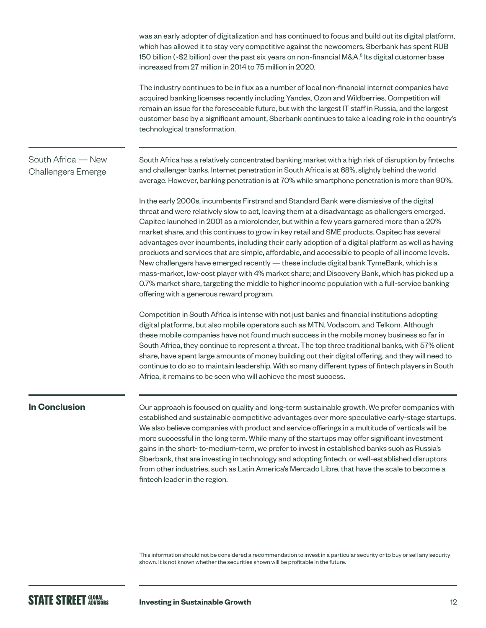was an early adopter of digitalization and has continued to focus and build out its digital platform, which has allowed it to stay very competitive against the newcomers. Sberbank has spent RUB 150 billion (~\$2 billion) over the past six years on non-financial M&A.<sup>8</sup> Its digital customer base increased from 27 million in 2014 to 75 million in 2020.

The industry continues to be in flux as a number of local non-financial internet companies have acquired banking licenses recently including Yandex, Ozon and Wildberries. Competition will remain an issue for the foreseeable future, but with the largest IT staff in Russia, and the largest customer base by a significant amount, Sberbank continues to take a leading role in the country's technological transformation.

#### South Africa — New Challengers Emerge

South Africa has a relatively concentrated banking market with a high risk of disruption by fintechs and challenger banks. Internet penetration in South Africa is at 68%, slightly behind the world average. However, banking penetration is at 70% while smartphone penetration is more than 90%.

In the early 2000s, incumbents Firstrand and Standard Bank were dismissive of the digital threat and were relatively slow to act, leaving them at a disadvantage as challengers emerged. Capitec launched in 2001 as a microlender, but within a few years garnered more than a 20% market share, and this continues to grow in key retail and SME products. Capitec has several advantages over incumbents, including their early adoption of a digital platform as well as having products and services that are simple, affordable, and accessible to people of all income levels. New challengers have emerged recently — these include digital bank TymeBank, which is a mass-market, low-cost player with 4% market share; and Discovery Bank, which has picked up a 0.7% market share, targeting the middle to higher income population with a full-service banking offering with a generous reward program.

Competition in South Africa is intense with not just banks and financial institutions adopting digital platforms, but also mobile operators such as MTN, Vodacom, and Telkom. Although these mobile companies have not found much success in the mobile money business so far in South Africa, they continue to represent a threat. The top three traditional banks, with 57% client share, have spent large amounts of money building out their digital offering, and they will need to continue to do so to maintain leadership. With so many different types of fintech players in South Africa, it remains to be seen who will achieve the most success.

#### **In Conclusion**

Our approach is focused on quality and long-term sustainable growth. We prefer companies with established and sustainable competitive advantages over more speculative early-stage startups. We also believe companies with product and service offerings in a multitude of verticals will be more successful in the long term. While many of the startups may offer significant investment gains in the short- to-medium-term, we prefer to invest in established banks such as Russia's Sberbank, that are investing in technology and adopting fintech, or well-established disruptors from other industries, such as Latin America's Mercado Libre, that have the scale to become a fintech leader in the region.

This information should not be considered a recommendation to invest in a particular security or to buy or sell any security shown. It is not known whether the securities shown will be profitable in the future.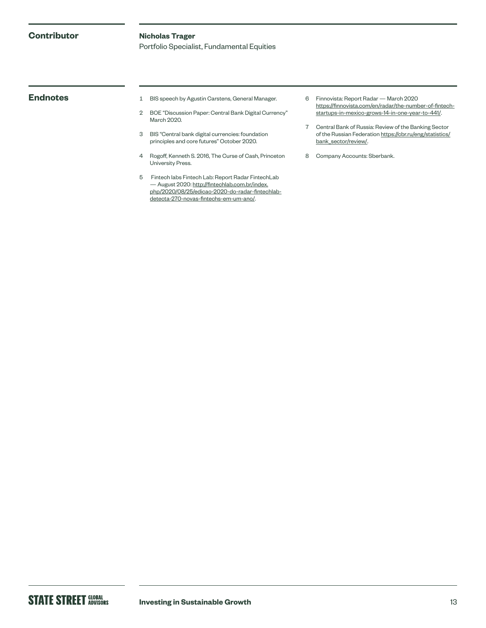#### **Contributor**

#### **Nicholas Trager**

Portfolio Specialist, Fundamental Equities

- **Endnotes** 1 BIS speech by Agustin Carstens, General Manager.
	- 2 BOE "Discussion Paper: Central Bank Digital Currency" March 2020.
	- 3 BIS "Central bank digital currencies: foundation principles and core futures" October 2020.
	- 4 Rogoff, Kenneth S. 2016, The Curse of Cash, Princeton University Press.
	- 5 Fintech labs Fintech Lab: Report Radar FintechLab — August 2020: [http://fintechlab.com.br/index.](http://fintechlab.com.br/index.php/2020/08/25/edicao-2020-do-radar-fintechlab-detecta-270-novas-fintechs-em-um-ano/) [php/2020/08/25/edicao-2020-do-radar-fintechlab](http://fintechlab.com.br/index.php/2020/08/25/edicao-2020-do-radar-fintechlab-detecta-270-novas-fintechs-em-um-ano/)[detecta-270-novas-fintechs-em-um-ano/](http://fintechlab.com.br/index.php/2020/08/25/edicao-2020-do-radar-fintechlab-detecta-270-novas-fintechs-em-um-ano/).
- 6 Finnovista: Report Radar March 2020 [https://finnovista.com/en/radar/the-number-of-fintech](https://www.finnovista.com/en/radar/the-number-of-fintech-startups-in-mexico-grows-14-in-one-year-to-441/)[startups-in-mexico-grows-14-in-one-year-to-441/.](https://www.finnovista.com/en/radar/the-number-of-fintech-startups-in-mexico-grows-14-in-one-year-to-441/)
- 7 Central Bank of Russia: Review of the Banking Sector of the Russian Federation [https://cbr.ru/eng/statistics/](https://www.cbr.ru/eng/statistics/bank_sector/review/) [bank\\_sector/review/.](https://www.cbr.ru/eng/statistics/bank_sector/review/)
- 8 Company Accounts: Sberbank.